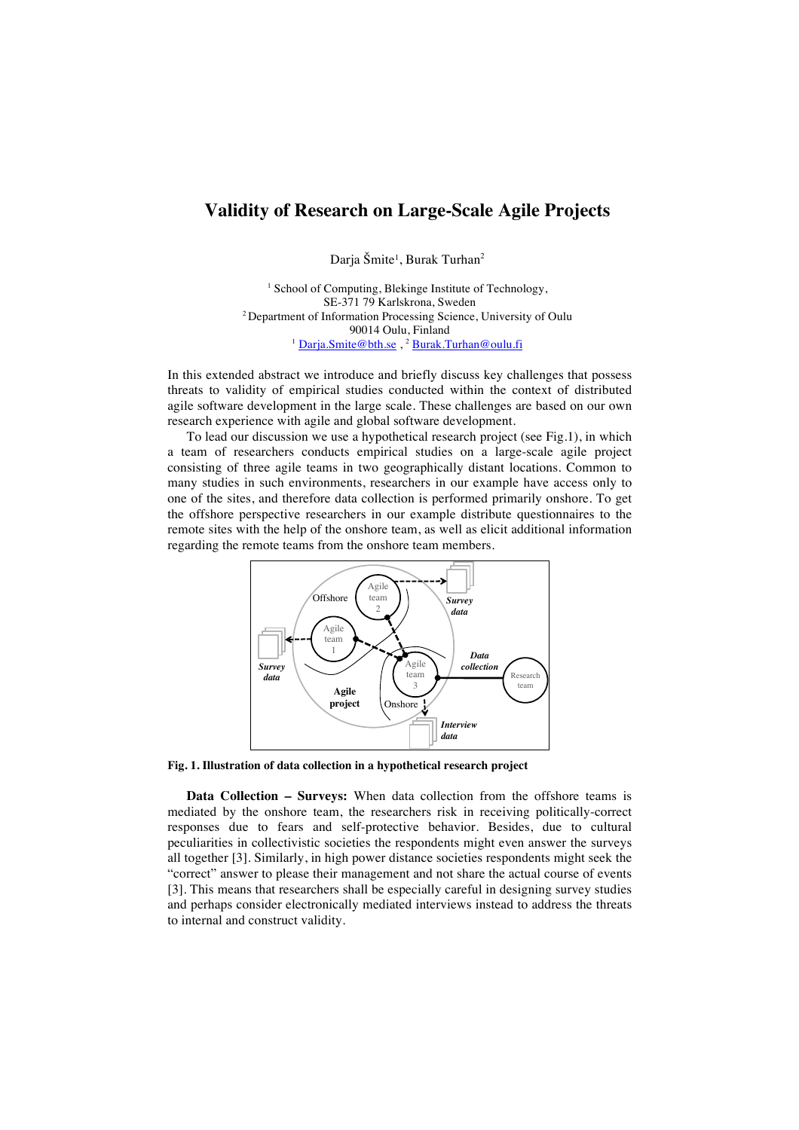## **Validity of Research on Large-Scale Agile Projects**

Darja Šmite<sup>1</sup>, Burak Turhan<sup>2</sup>

<sup>1</sup> School of Computing, Blekinge Institute of Technology, SE-371 79 Karlskrona, Sweden 2 Department of Information Processing Science, University of Oulu 90014 Oulu, Finland <sup>1</sup> Darja.Smite@bth.se, <sup>2</sup> Burak.Turhan@oulu.fi

In this extended abstract we introduce and briefly discuss key challenges that possess threats to validity of empirical studies conducted within the context of distributed agile software development in the large scale. These challenges are based on our own research experience with agile and global software development.

To lead our discussion we use a hypothetical research project (see Fig.1), in which a team of researchers conducts empirical studies on a large-scale agile project consisting of three agile teams in two geographically distant locations. Common to many studies in such environments, researchers in our example have access only to one of the sites, and therefore data collection is performed primarily onshore. To get the offshore perspective researchers in our example distribute questionnaires to the remote sites with the help of the onshore team, as well as elicit additional information regarding the remote teams from the onshore team members.



**Fig. 1. Illustration of data collection in a hypothetical research project** 

**Data Collection – Surveys:** When data collection from the offshore teams is mediated by the onshore team, the researchers risk in receiving politically-correct responses due to fears and self-protective behavior. Besides, due to cultural peculiarities in collectivistic societies the respondents might even answer the surveys all together [3]. Similarly, in high power distance societies respondents might seek the "correct" answer to please their management and not share the actual course of events [3]. This means that researchers shall be especially careful in designing survey studies and perhaps consider electronically mediated interviews instead to address the threats to internal and construct validity.